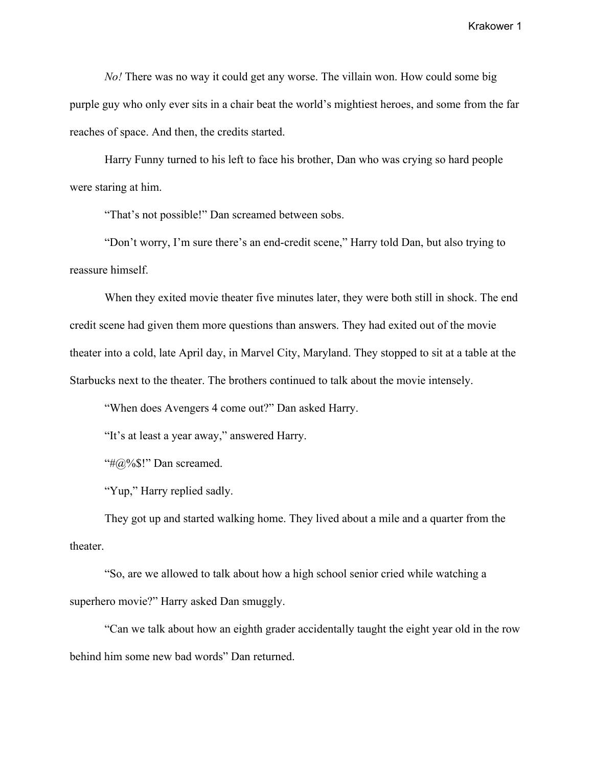*No!* There was no way it could get any worse. The villain won. How could some big purple guy who only ever sits in a chair beat the world's mightiest heroes, and some from the far reaches of space. And then, the credits started.

Harry Funny turned to his left to face his brother, Dan who was crying so hard people were staring at him.

"That's not possible!" Dan screamed between sobs.

"Don't worry, I'm sure there's an end-credit scene," Harry told Dan, but also trying to reassure himself.

When they exited movie theater five minutes later, they were both still in shock. The end credit scene had given them more questions than answers. They had exited out of the movie theater into a cold, late April day, in Marvel City, Maryland. They stopped to sit at a table at the Starbucks next to the theater. The brothers continued to talk about the movie intensely.

"When does Avengers 4 come out?" Dan asked Harry.

"It's at least a year away," answered Harry.

"# $@$ %\$!" Dan screamed.

"Yup," Harry replied sadly.

They got up and started walking home. They lived about a mile and a quarter from the theater.

"So, are we allowed to talk about how a high school senior cried while watching a superhero movie?" Harry asked Dan smuggly.

"Can we talk about how an eighth grader accidentally taught the eight year old in the row behind him some new bad words" Dan returned.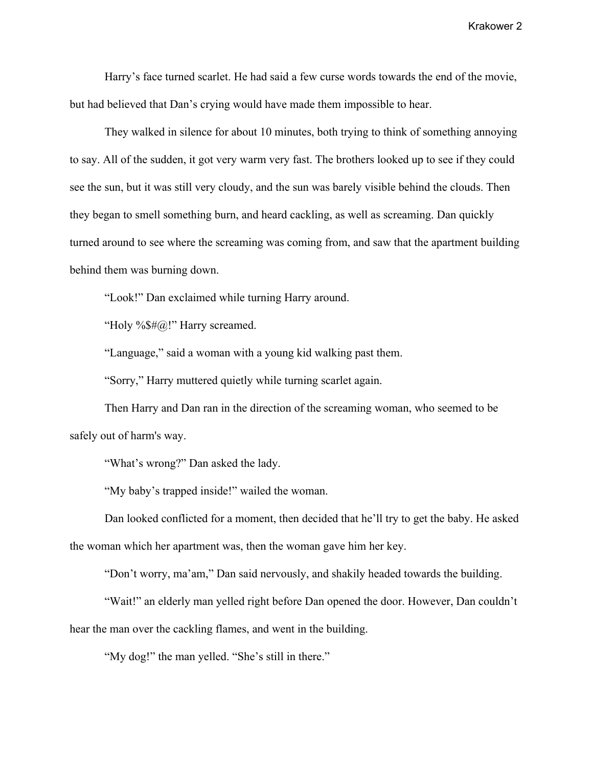Harry's face turned scarlet. He had said a few curse words towards the end of the movie, but had believed that Dan's crying would have made them impossible to hear.

They walked in silence for about 10 minutes, both trying to think of something annoying to say. All of the sudden, it got very warm very fast. The brothers looked up to see if they could see the sun, but it was still very cloudy, and the sun was barely visible behind the clouds. Then they began to smell something burn, and heard cackling, as well as screaming. Dan quickly turned around to see where the screaming was coming from, and saw that the apartment building behind them was burning down.

"Look!" Dan exclaimed while turning Harry around.

"Holy %\$#@!" Harry screamed.

"Language," said a woman with a young kid walking past them.

"Sorry," Harry muttered quietly while turning scarlet again.

Then Harry and Dan ran in the direction of the screaming woman, who seemed to be safely out of harm's way.

"What's wrong?" Dan asked the lady.

"My baby's trapped inside!" wailed the woman.

Dan looked conflicted for a moment, then decided that he'll try to get the baby. He asked the woman which her apartment was, then the woman gave him her key.

"Don't worry, ma'am," Dan said nervously, and shakily headed towards the building.

"Wait!" an elderly man yelled right before Dan opened the door. However, Dan couldn't hear the man over the cackling flames, and went in the building.

"My dog!" the man yelled. "She's still in there."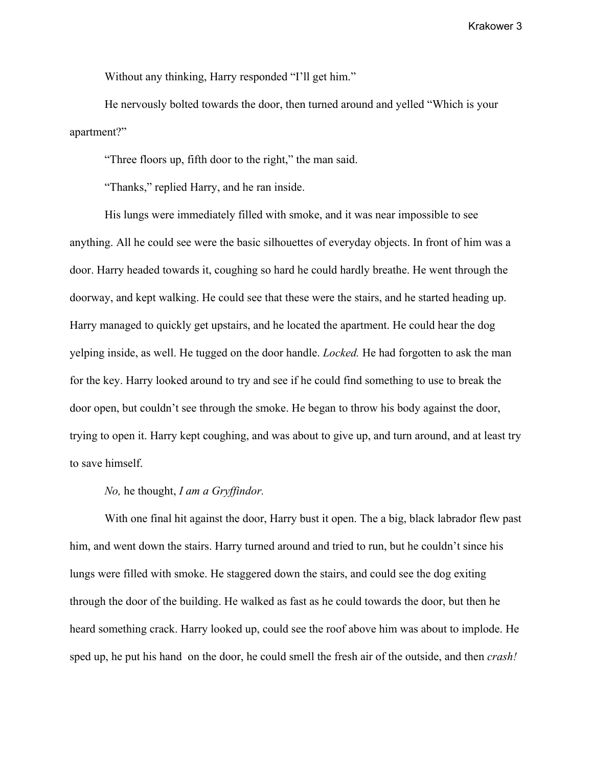Without any thinking, Harry responded "I'll get him."

He nervously bolted towards the door, then turned around and yelled "Which is your apartment?"

"Three floors up, fifth door to the right," the man said.

"Thanks," replied Harry, and he ran inside.

His lungs were immediately filled with smoke, and it was near impossible to see anything. All he could see were the basic silhouettes of everyday objects. In front of him was a door. Harry headed towards it, coughing so hard he could hardly breathe. He went through the doorway, and kept walking. He could see that these were the stairs, and he started heading up. Harry managed to quickly get upstairs, and he located the apartment. He could hear the dog yelping inside, as well. He tugged on the door handle. *Locked.* He had forgotten to ask the man for the key. Harry looked around to try and see if he could find something to use to break the door open, but couldn't see through the smoke. He began to throw his body against the door, trying to open it. Harry kept coughing, and was about to give up, and turn around, and at least try to save himself.

## *No,* he thought, *I am a Gryffindor.*

With one final hit against the door, Harry bust it open. The a big, black labrador flew past him, and went down the stairs. Harry turned around and tried to run, but he couldn't since his lungs were filled with smoke. He staggered down the stairs, and could see the dog exiting through the door of the building. He walked as fast as he could towards the door, but then he heard something crack. Harry looked up, could see the roof above him was about to implode. He sped up, he put his hand on the door, he could smell the fresh air of the outside, and then *crash!*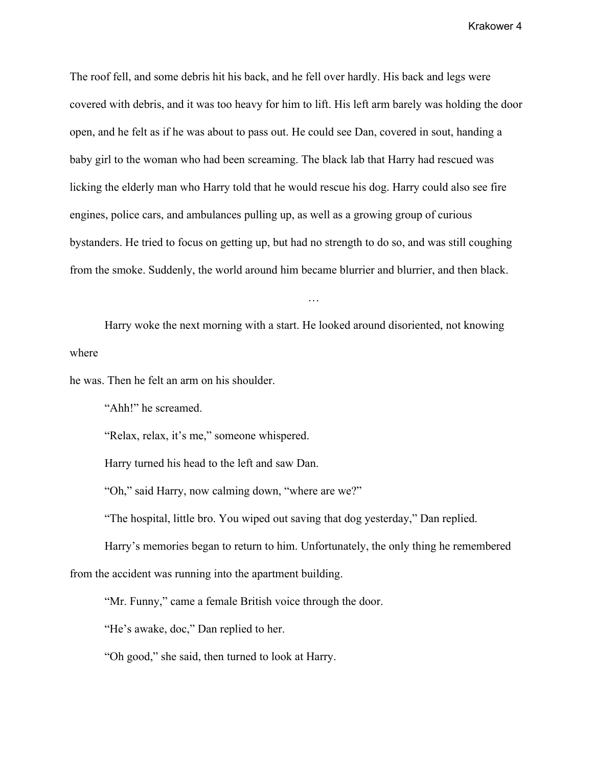The roof fell, and some debris hit his back, and he fell over hardly. His back and legs were covered with debris, and it was too heavy for him to lift. His left arm barely was holding the door open, and he felt as if he was about to pass out. He could see Dan, covered in sout, handing a baby girl to the woman who had been screaming. The black lab that Harry had rescued was licking the elderly man who Harry told that he would rescue his dog. Harry could also see fire engines, police cars, and ambulances pulling up, as well as a growing group of curious bystanders. He tried to focus on getting up, but had no strength to do so, and was still coughing from the smoke. Suddenly, the world around him became blurrier and blurrier, and then black.

Harry woke the next morning with a start. He looked around disoriented, not knowing where

…

he was. Then he felt an arm on his shoulder.

"Ahh!" he screamed.

"Relax, relax, it's me," someone whispered.

Harry turned his head to the left and saw Dan.

"Oh," said Harry, now calming down, "where are we?"

"The hospital, little bro. You wiped out saving that dog yesterday," Dan replied.

Harry's memories began to return to him. Unfortunately, the only thing he remembered from the accident was running into the apartment building.

"Mr. Funny," came a female British voice through the door.

"He's awake, doc," Dan replied to her.

"Oh good," she said, then turned to look at Harry.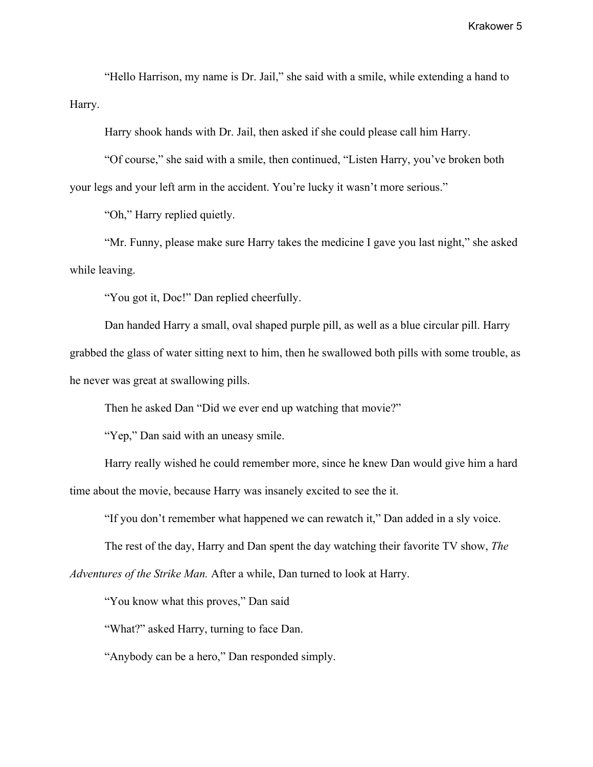"Hello Harrison, my name is Dr. Jail," she said with a smile, while extending a hand to Harry.

Harry shook hands with Dr. Jail, then asked if she could please call him Harry.

"Of course," she said with a smile, then continued, "Listen Harry, you've broken both your legs and your left arm in the accident. You're lucky it wasn't more serious."

"Oh," Harry replied quietly.

"Mr. Funny, please make sure Harry takes the medicine I gave you last night," she asked while leaving.

"You got it, Doc!" Dan replied cheerfully.

Dan handed Harry a small, oval shaped purple pill, as well as a blue circular pill. Harry grabbed the glass of water sitting next to him, then he swallowed both pills with some trouble, as he never was great at swallowing pills.

Then he asked Dan "Did we ever end up watching that movie?"

"Yep," Dan said with an uneasy smile.

Harry really wished he could remember more, since he knew Dan would give him a hard time about the movie, because Harry was insanely excited to see the it.

"If you don't remember what happened we can rewatch it," Dan added in a sly voice.

The rest of the day, Harry and Dan spent the day watching their favorite TV show, *The*

*Adventures of the Strike Man.* After a while, Dan turned to look at Harry.

"You know what this proves," Dan said

"What?" asked Harry, turning to face Dan.

"Anybody can be a hero," Dan responded simply.